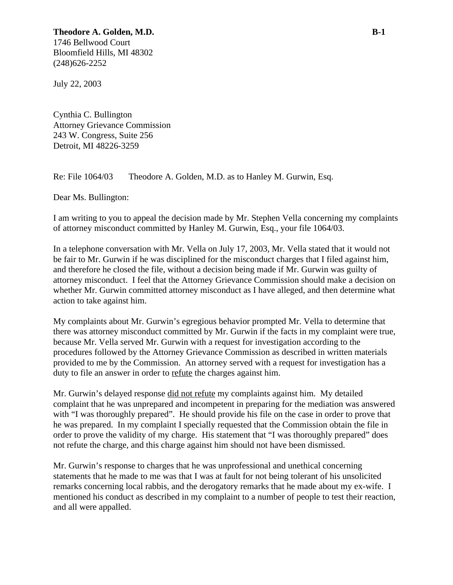## **Theodore A. Golden, M.D. B-1** 1746 Bellwood Court

Bloomfield Hills, MI 48302 (248)626-2252

July 22, 2003

Cynthia C. Bullington Attorney Grievance Commission 243 W. Congress, Suite 256 Detroit, MI 48226-3259

Re: File 1064/03 Theodore A. Golden, M.D. as to Hanley M. Gurwin, Esq.

Dear Ms. Bullington:

I am writing to you to appeal the decision made by Mr. Stephen Vella concerning my complaints of attorney misconduct committed by Hanley M. Gurwin, Esq., your file 1064/03.

In a telephone conversation with Mr. Vella on July 17, 2003, Mr. Vella stated that it would not be fair to Mr. Gurwin if he was disciplined for the misconduct charges that I filed against him, and therefore he closed the file, without a decision being made if Mr. Gurwin was guilty of attorney misconduct. I feel that the Attorney Grievance Commission should make a decision on whether Mr. Gurwin committed attorney misconduct as I have alleged, and then determine what action to take against him.

My complaints about Mr. Gurwin's egregious behavior prompted Mr. Vella to determine that there was attorney misconduct committed by Mr. Gurwin if the facts in my complaint were true, because Mr. Vella served Mr. Gurwin with a request for investigation according to the procedures followed by the Attorney Grievance Commission as described in written materials provided to me by the Commission. An attorney served with a request for investigation has a duty to file an answer in order to refute the charges against him.

Mr. Gurwin's delayed response did not refute my complaints against him. My detailed complaint that he was unprepared and incompetent in preparing for the mediation was answered with "I was thoroughly prepared". He should provide his file on the case in order to prove that he was prepared. In my complaint I specially requested that the Commission obtain the file in order to prove the validity of my charge. His statement that "I was thoroughly prepared" does not refute the charge, and this charge against him should not have been dismissed.

Mr. Gurwin's response to charges that he was unprofessional and unethical concerning statements that he made to me was that I was at fault for not being tolerant of his unsolicited remarks concerning local rabbis, and the derogatory remarks that he made about my ex-wife. I mentioned his conduct as described in my complaint to a number of people to test their reaction, and all were appalled.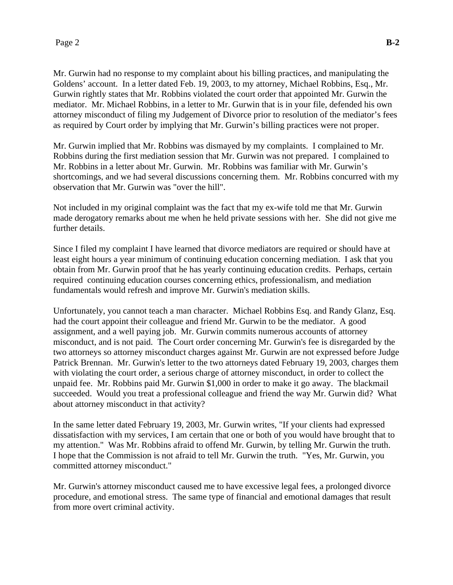Mr. Gurwin had no response to my complaint about his billing practices, and manipulating the Goldens' account. In a letter dated Feb. 19, 2003, to my attorney, Michael Robbins, Esq., Mr. Gurwin rightly states that Mr. Robbins violated the court order that appointed Mr. Gurwin the mediator. Mr. Michael Robbins, in a letter to Mr. Gurwin that is in your file, defended his own attorney misconduct of filing my Judgement of Divorce prior to resolution of the mediator's fees as required by Court order by implying that Mr. Gurwin's billing practices were not proper.

Mr. Gurwin implied that Mr. Robbins was dismayed by my complaints. I complained to Mr. Robbins during the first mediation session that Mr. Gurwin was not prepared. I complained to Mr. Robbins in a letter about Mr. Gurwin. Mr. Robbins was familiar with Mr. Gurwin's shortcomings, and we had several discussions concerning them. Mr. Robbins concurred with my observation that Mr. Gurwin was "over the hill".

Not included in my original complaint was the fact that my ex-wife told me that Mr. Gurwin made derogatory remarks about me when he held private sessions with her. She did not give me further details.

Since I filed my complaint I have learned that divorce mediators are required or should have at least eight hours a year minimum of continuing education concerning mediation. I ask that you obtain from Mr. Gurwin proof that he has yearly continuing education credits. Perhaps, certain required continuing education courses concerning ethics, professionalism, and mediation fundamentals would refresh and improve Mr. Gurwin's mediation skills.

Unfortunately, you cannot teach a man character. Michael Robbins Esq. and Randy Glanz, Esq. had the court appoint their colleague and friend Mr. Gurwin to be the mediator. A good assignment, and a well paying job. Mr. Gurwin commits numerous accounts of attorney misconduct, and is not paid. The Court order concerning Mr. Gurwin's fee is disregarded by the two attorneys so attorney misconduct charges against Mr. Gurwin are not expressed before Judge Patrick Brennan. Mr. Gurwin's letter to the two attorneys dated February 19, 2003, charges them with violating the court order, a serious charge of attorney misconduct, in order to collect the unpaid fee. Mr. Robbins paid Mr. Gurwin \$1,000 in order to make it go away. The blackmail succeeded. Would you treat a professional colleague and friend the way Mr. Gurwin did? What about attorney misconduct in that activity?

In the same letter dated February 19, 2003, Mr. Gurwin writes, "If your clients had expressed dissatisfaction with my services, I am certain that one or both of you would have brought that to my attention." Was Mr. Robbins afraid to offend Mr. Gurwin, by telling Mr. Gurwin the truth. I hope that the Commission is not afraid to tell Mr. Gurwin the truth. "Yes, Mr. Gurwin, you committed attorney misconduct."

Mr. Gurwin's attorney misconduct caused me to have excessive legal fees, a prolonged divorce procedure, and emotional stress. The same type of financial and emotional damages that result from more overt criminal activity.